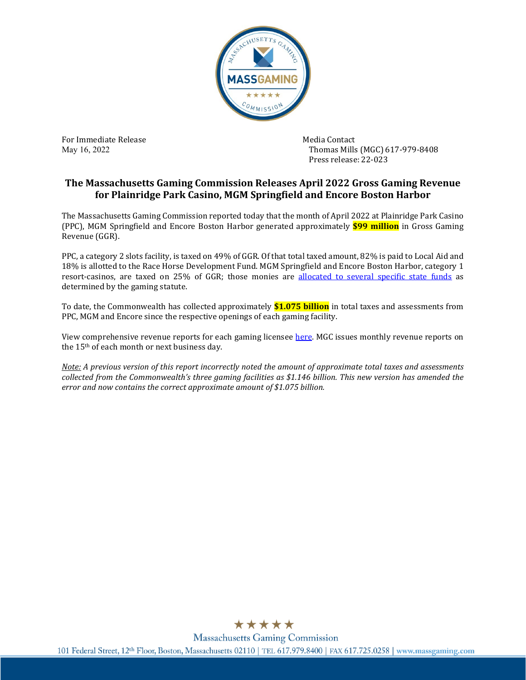

For Immediate Release Media Contact May 16, 2022

Thomas Mills (MGC) 617-979-8408 Press release: 22-023

## **The Massachusetts Gaming Commission Releases April 2022 Gross Gaming Revenue for Plainridge Park Casino, MGM Springfield and Encore Boston Harbor**

The Massachusetts Gaming Commission reported today that the month of April 2022 at Plainridge Park Casino (PPC), MGM Springfield and Encore Boston Harbor generated approximately **\$99 million** in Gross Gaming Revenue (GGR).

PPC, a category 2 slots facility, is taxed on 49% of GGR. Of that total taxed amount, 82% is paid to Local Aid and 18% is allotted to the Race Horse Development Fund. MGM Springfield and Encore Boston Harbor, category 1 resort-casinos, are taxed on 25% of GGR; those monies are [allocated to several specific state funds](https://massgaming.com/wp-content/uploads/GGR-CAT-1-1.5.21.jpg) as determined by the gaming statute.

To date, the Commonwealth has collected approximately **\$1.075 billion** in total taxes and assessments from PPC, MGM and Encore since the respective openings of each gaming facility.

View comprehensive revenue reports for each gaming licensee [here.](https://massgaming.com/regulations/revenue/) MGC issues monthly revenue reports on the 15th of each month or next business day.

*Note: A previous version of this report incorrectly noted the amount of approximate total taxes and assessments collected from the Commonwealth's three gaming facilities as \$1.146 billion. This new version has amended the error and now contains the correct approximate amount of \$1.075 billion.* 



**Massachusetts Gaming Commission** 101 Federal Street, 12th Floor, Boston, Massachusetts 02110 | TEL 617,979,8400 | FAX 617,725,0258 | www.massgaming.com